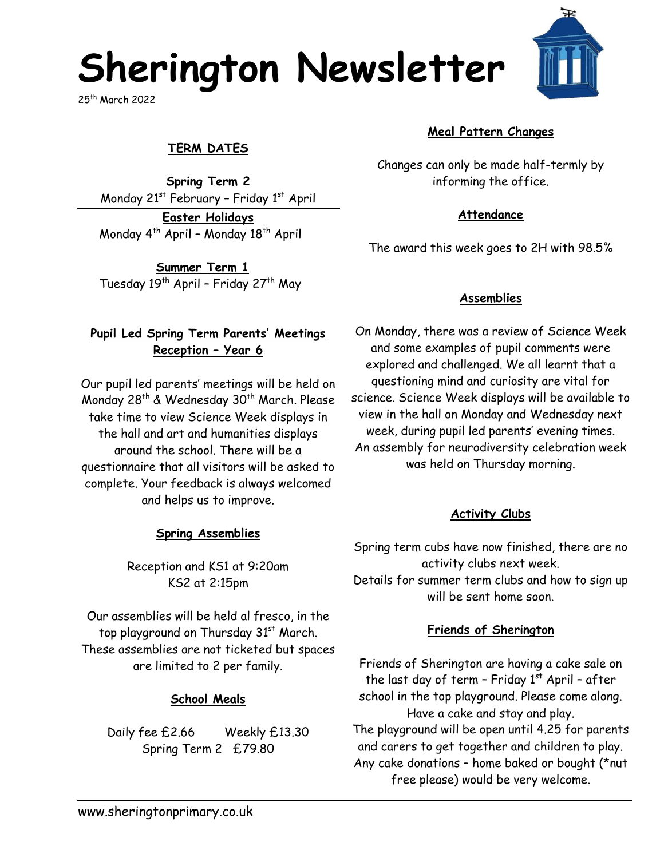# **Sherington Newsletter**

25th March 2022

# **TERM DATES**

**Spring Term 2** Monday  $21^{st}$  February - Friday  $1^{st}$  April

**Easter Holidays** Monday  $4^{th}$  April - Monday  $18^{th}$  April

**Summer Term 1** Tuesday 19<sup>th</sup> April - Friday 27<sup>th</sup> May

## **Pupil Led Spring Term Parents' Meetings Reception – Year 6**

Our pupil led parents' meetings will be held on Monday 28<sup>th</sup> & Wednesday 30<sup>th</sup> March. Please take time to view Science Week displays in the hall and art and humanities displays around the school. There will be a questionnaire that all visitors will be asked to complete. Your feedback is always welcomed and helps us to improve.

## **Spring Assemblies**

Reception and KS1 at 9:20am KS2 at 2:15pm

Our assemblies will be held al fresco, in the top playground on Thursday 31<sup>st</sup> March. These assemblies are not ticketed but spaces are limited to 2 per family.

## **School Meals**

Daily fee £2.66 Weekly £13.30 Spring Term 2 £79.80

**Meal Pattern Changes**

Changes can only be made half-termly by informing the office.

#### **Attendance**

The award this week goes to 2H with 98.5%

#### **Assemblies**

On Monday, there was a review of Science Week and some examples of pupil comments were explored and challenged. We all learnt that a questioning mind and curiosity are vital for science. Science Week displays will be available to view in the hall on Monday and Wednesday next week, during pupil led parents' evening times. An assembly for neurodiversity celebration week was held on Thursday morning.

#### **Activity Clubs**

Spring term cubs have now finished, there are no activity clubs next week. Details for summer term clubs and how to sign up will be sent home soon.

#### **Friends of Sherington**

Friends of Sherington are having a cake sale on the last day of term - Friday  $1<sup>st</sup>$  April - after school in the top playground. Please come along. Have a cake and stay and play. The playground will be open until 4.25 for parents and carers to get together and children to play. Any cake donations – home baked or bought (\*nut free please) would be very welcome.

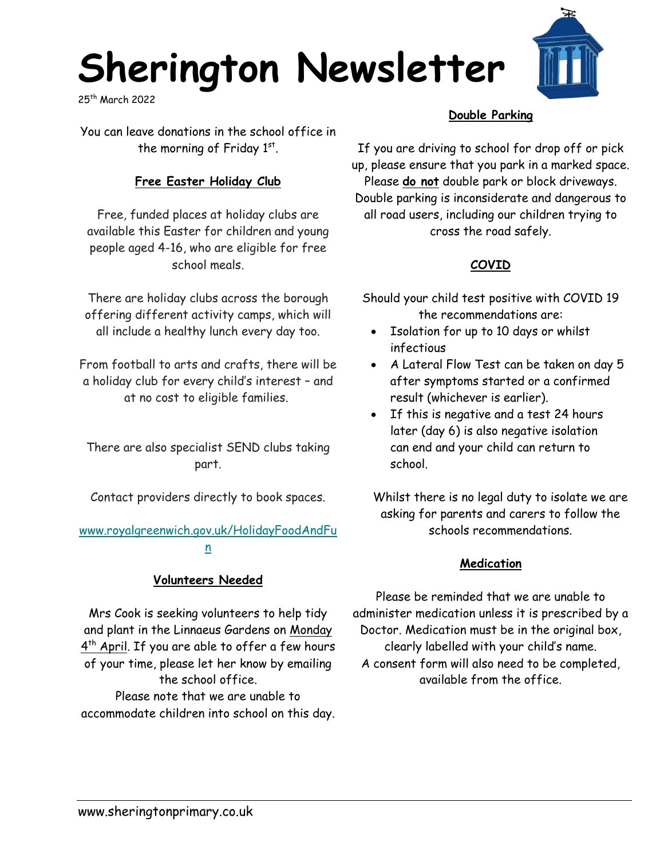# **Sherington Newsletter**

25th March 2022

You can leave donations in the school office in the morning of Friday  $1^{st}$ .

# **Free Easter Holiday Club**

Free, funded places at holiday clubs are available this Easter for children and young people aged 4-16, who are eligible for free school meals.

There are holiday clubs across the borough offering different activity camps, which will all include a healthy lunch every day too.

From football to arts and crafts, there will be a holiday club for every child's interest – and at no cost to eligible families.

There are also specialist SEND clubs taking part.

Contact providers directly to book spaces.

#### [www.royalgreenwich.gov.uk/HolidayFoodAndFu](https://royalgreenwich.us16.list-manage.com/track/click?u=353e66c91ca8d217125ad655c&id=8c3e43e234&e=ab85ed5267) [n](https://royalgreenwich.us16.list-manage.com/track/click?u=353e66c91ca8d217125ad655c&id=8c3e43e234&e=ab85ed5267)

# **Volunteers Needed**

Mrs Cook is seeking volunteers to help tidy and plant in the Linnaeus Gardens on Monday 4<sup>th</sup> April. If you are able to offer a few hours of your time, please let her know by emailing the school office. Please note that we are unable to accommodate children into school on this day.

## **Double Parking**

H

If you are driving to school for drop off or pick up, please ensure that you park in a marked space. Please **do not** double park or block driveways. Double parking is inconsiderate and dangerous to all road users, including our children trying to cross the road safely.

# **COVID**

Should your child test positive with COVID 19 the recommendations are:

- Isolation for up to 10 days or whilst infectious
- A Lateral Flow Test can be taken on day 5 after symptoms started or a confirmed result (whichever is earlier).
- If this is negative and a test 24 hours later (day 6) is also negative isolation can end and your child can return to school.

Whilst there is no legal duty to isolate we are asking for parents and carers to follow the schools recommendations.

# **Medication**

Please be reminded that we are unable to administer medication unless it is prescribed by a Doctor. Medication must be in the original box, clearly labelled with your child's name. A consent form will also need to be completed, available from the office.